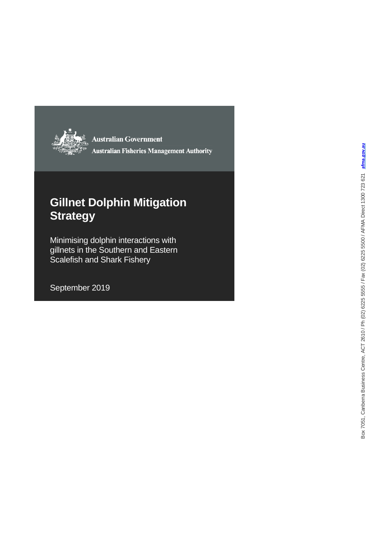

**Australian Government Australian Fisheries Management Authority** 

# **Gillnet Dolphin Mitigation Strategy**

Minimising dolphin interactions with gillnets in the Southern and Eastern Scalefish and Shark Fishery

September 2019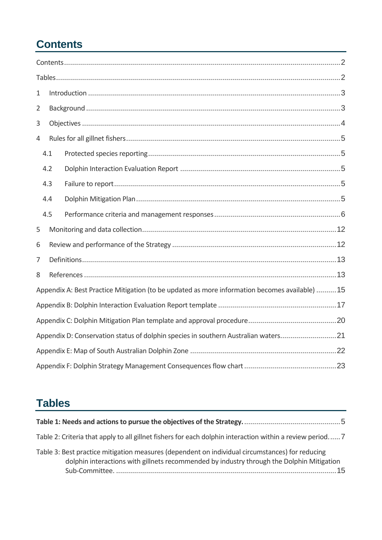# <span id="page-1-0"></span>**Contents**

| $\mathbf 1$    |                                                                                                |  |  |  |  |  |  |
|----------------|------------------------------------------------------------------------------------------------|--|--|--|--|--|--|
| $\overline{2}$ |                                                                                                |  |  |  |  |  |  |
| 3              |                                                                                                |  |  |  |  |  |  |
| 4              |                                                                                                |  |  |  |  |  |  |
|                | 4.1                                                                                            |  |  |  |  |  |  |
|                | 4.2                                                                                            |  |  |  |  |  |  |
|                | 4.3                                                                                            |  |  |  |  |  |  |
|                | 4.4                                                                                            |  |  |  |  |  |  |
|                | 4.5                                                                                            |  |  |  |  |  |  |
| 5              |                                                                                                |  |  |  |  |  |  |
| 6              |                                                                                                |  |  |  |  |  |  |
| 7              |                                                                                                |  |  |  |  |  |  |
| 8              |                                                                                                |  |  |  |  |  |  |
|                | Appendix A: Best Practice Mitigation (to be updated as more information becomes available)  15 |  |  |  |  |  |  |
|                |                                                                                                |  |  |  |  |  |  |
|                |                                                                                                |  |  |  |  |  |  |
|                | Appendix D: Conservation status of dolphin species in southern Australian waters21             |  |  |  |  |  |  |
|                |                                                                                                |  |  |  |  |  |  |
|                |                                                                                                |  |  |  |  |  |  |

# <span id="page-1-1"></span>**Tables**

| Table 2: Criteria that apply to all gillnet fishers for each dolphin interaction within a review period 7                                                                                    |
|----------------------------------------------------------------------------------------------------------------------------------------------------------------------------------------------|
| Table 3: Best practice mitigation measures (dependent on individual circumstances) for reducing<br>dolphin interactions with gillnets recommended by industry through the Dolphin Mitigation |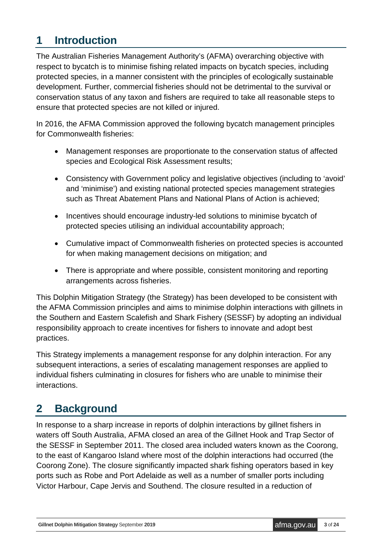## <span id="page-2-0"></span>**1 Introduction**

The Australian Fisheries Management Authority's (AFMA) overarching objective with respect to bycatch is to minimise fishing related impacts on bycatch species, including protected species, in a manner consistent with the principles of ecologically sustainable development. Further, commercial fisheries should not be detrimental to the survival or conservation status of any taxon and fishers are required to take all reasonable steps to ensure that protected species are not killed or injured.

In 2016, the AFMA Commission approved the following bycatch management principles for Commonwealth fisheries:

- Management responses are proportionate to the conservation status of affected species and Ecological Risk Assessment results;
- Consistency with Government policy and legislative objectives (including to 'avoid' and 'minimise') and existing national protected species management strategies such as Threat Abatement Plans and National Plans of Action is achieved;
- Incentives should encourage industry-led solutions to minimise bycatch of protected species utilising an individual accountability approach;
- Cumulative impact of Commonwealth fisheries on protected species is accounted for when making management decisions on mitigation; and
- There is appropriate and where possible, consistent monitoring and reporting arrangements across fisheries.

This Dolphin Mitigation Strategy (the Strategy) has been developed to be consistent with the AFMA Commission principles and aims to minimise dolphin interactions with gillnets in the Southern and Eastern Scalefish and Shark Fishery (SESSF) by adopting an individual responsibility approach to create incentives for fishers to innovate and adopt best practices.

This Strategy implements a management response for any dolphin interaction. For any subsequent interactions, a series of escalating management responses are applied to individual fishers culminating in closures for fishers who are unable to minimise their interactions.

# <span id="page-2-1"></span>**2 Background**

In response to a sharp increase in reports of dolphin interactions by gillnet fishers in waters off South Australia, AFMA closed an area of the Gillnet Hook and Trap Sector of the SESSF in September 2011. The closed area included waters known as the Coorong, to the east of Kangaroo Island where most of the dolphin interactions had occurred (the Coorong Zone). The closure significantly impacted shark fishing operators based in key ports such as Robe and Port Adelaide as well as a number of smaller ports including Victor Harbour, Cape Jervis and Southend. The closure resulted in a reduction of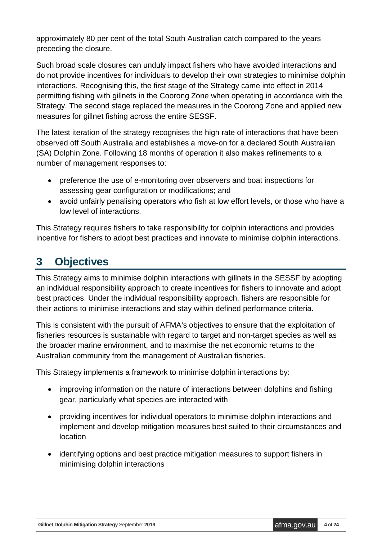approximately 80 per cent of the total South Australian catch compared to the years preceding the closure.

Such broad scale closures can unduly impact fishers who have avoided interactions and do not provide incentives for individuals to develop their own strategies to minimise dolphin interactions. Recognising this, the first stage of the Strategy came into effect in 2014 permitting fishing with gillnets in the Coorong Zone when operating in accordance with the Strategy. The second stage replaced the measures in the Coorong Zone and applied new measures for gillnet fishing across the entire SESSF.

The latest iteration of the strategy recognises the high rate of interactions that have been observed off South Australia and establishes a move-on for a declared South Australian (SA) Dolphin Zone. Following 18 months of operation it also makes refinements to a number of management responses to:

- preference the use of e-monitoring over observers and boat inspections for assessing gear configuration or modifications; and
- avoid unfairly penalising operators who fish at low effort levels, or those who have a low level of interactions.

This Strategy requires fishers to take responsibility for dolphin interactions and provides incentive for fishers to adopt best practices and innovate to minimise dolphin interactions.

# <span id="page-3-0"></span>**3 Objectives**

This Strategy aims to minimise dolphin interactions with gillnets in the SESSF by adopting an individual responsibility approach to create incentives for fishers to innovate and adopt best practices. Under the individual responsibility approach, fishers are responsible for their actions to minimise interactions and stay within defined performance criteria.

This is consistent with the pursuit of AFMA's objectives to ensure that the exploitation of fisheries resources is sustainable with regard to target and non-target species as well as the broader marine environment, and to maximise the net economic returns to the Australian community from the management of Australian fisheries.

This Strategy implements a framework to minimise dolphin interactions by:

- improving information on the nature of interactions between dolphins and fishing gear, particularly what species are interacted with
- providing incentives for individual operators to minimise dolphin interactions and implement and develop mitigation measures best suited to their circumstances and location
- identifying options and best practice mitigation measures to support fishers in minimising dolphin interactions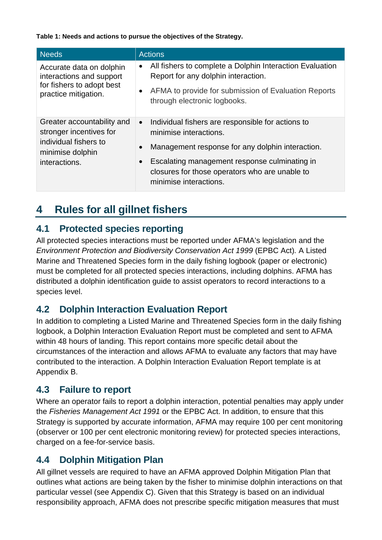<span id="page-4-5"></span>**Table 1: Needs and actions to pursue the objectives of the Strategy.**

| <b>Needs</b>                                                                                                        | <b>Actions</b>                                                                                                                                                                                                                                                                                      |
|---------------------------------------------------------------------------------------------------------------------|-----------------------------------------------------------------------------------------------------------------------------------------------------------------------------------------------------------------------------------------------------------------------------------------------------|
| Accurate data on dolphin<br>interactions and support<br>for fishers to adopt best<br>practice mitigation.           | All fishers to complete a Dolphin Interaction Evaluation<br>$\bullet$<br>Report for any dolphin interaction.<br>AFMA to provide for submission of Evaluation Reports<br>$\bullet$<br>through electronic logbooks.                                                                                   |
| Greater accountability and<br>stronger incentives for<br>individual fishers to<br>minimise dolphin<br>interactions. | Individual fishers are responsible for actions to<br>$\bullet$<br>minimise interactions.<br>Management response for any dolphin interaction.<br>$\bullet$<br>Escalating management response culminating in<br>$\bullet$<br>closures for those operators who are unable to<br>minimise interactions. |

## <span id="page-4-0"></span>**4 Rules for all gillnet fishers**

#### <span id="page-4-1"></span>**4.1 Protected species reporting**

All protected species interactions must be reported under AFMA's legislation and the *Environment Protection and Biodiversity Conservation Act 1999 (EPBC Act). A Listed* Marine and Threatened Species form in the daily fishing logbook (paper or electronic) must be completed for all protected species interactions, including dolphins. AFMA has distributed a dolphin identification guide to assist operators to record interactions to a species level.

#### <span id="page-4-2"></span>**4.2 Dolphin Interaction Evaluation Report**

In addition to completing a Listed Marine and Threatened Species form in the daily fishing logbook, a Dolphin Interaction Evaluation Report must be completed and sent to AFMA within 48 hours of landing. This report contains more specific detail about the circumstances of the interaction and allows AFMA to evaluate any factors that may have contributed to the interaction. A Dolphin Interaction Evaluation Report template is at Appendix B.

#### <span id="page-4-3"></span>**4.3 Failure to report**

Where an operator fails to report a dolphin interaction, potential penalties may apply under the *Fisheries Management Act 1991* or the EPBC Act. In addition, to ensure that this Strategy is supported by accurate information, AFMA may require 100 per cent monitoring (observer or 100 per cent electronic monitoring review) for protected species interactions, charged on a fee-for-service basis.

#### <span id="page-4-4"></span>**4.4 Dolphin Mitigation Plan**

All gillnet vessels are required to have an AFMA approved Dolphin Mitigation Plan that outlines what actions are being taken by the fisher to minimise dolphin interactions on that particular vessel (see Appendix C). Given that this Strategy is based on an individual responsibility approach, AFMA does not prescribe specific mitigation measures that must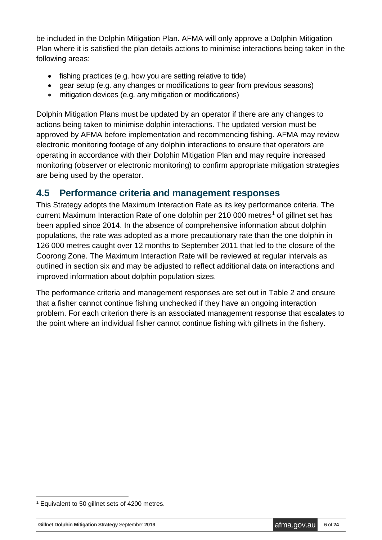be included in the Dolphin Mitigation Plan. AFMA will only approve a Dolphin Mitigation Plan where it is satisfied the plan details actions to minimise interactions being taken in the following areas:

- fishing practices (e.g. how you are setting relative to tide)
- gear setup (e.g. any changes or modifications to gear from previous seasons)
- mitigation devices (e.g. any mitigation or modifications)

Dolphin Mitigation Plans must be updated by an operator if there are any changes to actions being taken to minimise dolphin interactions. The updated version must be approved by AFMA before implementation and recommencing fishing. AFMA may review electronic monitoring footage of any dolphin interactions to ensure that operators are operating in accordance with their Dolphin Mitigation Plan and may require increased monitoring (observer or electronic monitoring) to confirm appropriate mitigation strategies are being used by the operator.

#### <span id="page-5-0"></span>**4.5 Performance criteria and management responses**

This Strategy adopts the Maximum Interaction Rate as its key performance criteria. The current Maximum Interaction Rate of one dolphin per 2[1](#page-5-1)0 000 metres<sup>1</sup> of gillnet set has been applied since 2014. In the absence of comprehensive information about dolphin populations, the rate was adopted as a more precautionary rate than the one dolphin in 126 000 metres caught over 12 months to September 2011 that led to the closure of the Coorong Zone. The Maximum Interaction Rate will be reviewed at regular intervals as outlined in section six and may be adjusted to reflect additional data on interactions and improved information about dolphin population sizes.

The performance criteria and management responses are set out in Table 2 and ensure that a fisher cannot continue fishing unchecked if they have an ongoing interaction problem. For each criterion there is an associated management response that escalates to the point where an individual fisher cannot continue fishing with gillnets in the fishery.

<span id="page-5-1"></span> <sup>1</sup> Equivalent to 50 gillnet sets of 4200 metres.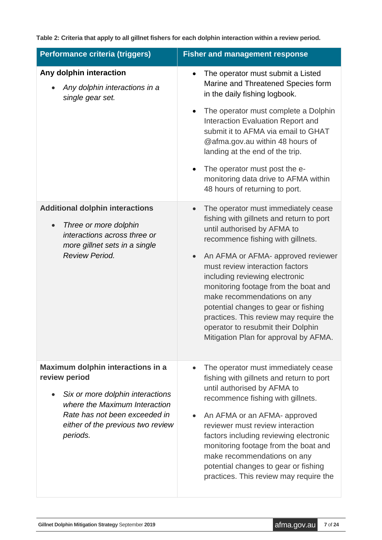<span id="page-6-0"></span>**Table 2: Criteria that apply to all gillnet fishers for each dolphin interaction within a review period.**

| Performance criteria (triggers)                                                                                                                                                                           | <b>Fisher and management response</b>                                                                                                                                                                                                                                                                                                                                                                                                                                                                                            |  |  |  |  |
|-----------------------------------------------------------------------------------------------------------------------------------------------------------------------------------------------------------|----------------------------------------------------------------------------------------------------------------------------------------------------------------------------------------------------------------------------------------------------------------------------------------------------------------------------------------------------------------------------------------------------------------------------------------------------------------------------------------------------------------------------------|--|--|--|--|
| Any dolphin interaction<br>Any dolphin interactions in a<br>single gear set.                                                                                                                              | The operator must submit a Listed<br>٠<br>Marine and Threatened Species form<br>in the daily fishing logbook.<br>The operator must complete a Dolphin<br>$\bullet$<br>Interaction Evaluation Report and<br>submit it to AFMA via email to GHAT<br>@afma.gov.au within 48 hours of<br>landing at the end of the trip.<br>The operator must post the e-<br>monitoring data drive to AFMA within<br>48 hours of returning to port.                                                                                                  |  |  |  |  |
| <b>Additional dolphin interactions</b><br>Three or more dolphin<br>$\bullet$<br>interactions across three or<br>more gillnet sets in a single<br><b>Review Period.</b>                                    | The operator must immediately cease<br>$\bullet$<br>fishing with gillnets and return to port<br>until authorised by AFMA to<br>recommence fishing with gillnets.<br>An AFMA or AFMA- approved reviewer<br>$\bullet$<br>must review interaction factors<br>including reviewing electronic<br>monitoring footage from the boat and<br>make recommendations on any<br>potential changes to gear or fishing<br>practices. This review may require the<br>operator to resubmit their Dolphin<br>Mitigation Plan for approval by AFMA. |  |  |  |  |
| Maximum dolphin interactions in a<br>review period<br>Six or more dolphin interactions<br>where the Maximum Interaction<br>Rate has not been exceeded in<br>either of the previous two review<br>periods. | The operator must immediately cease<br>$\bullet$<br>fishing with gillnets and return to port<br>until authorised by AFMA to<br>recommence fishing with gillnets.<br>An AFMA or an AFMA- approved<br>reviewer must review interaction<br>factors including reviewing electronic<br>monitoring footage from the boat and<br>make recommendations on any<br>potential changes to gear or fishing<br>practices. This review may require the                                                                                          |  |  |  |  |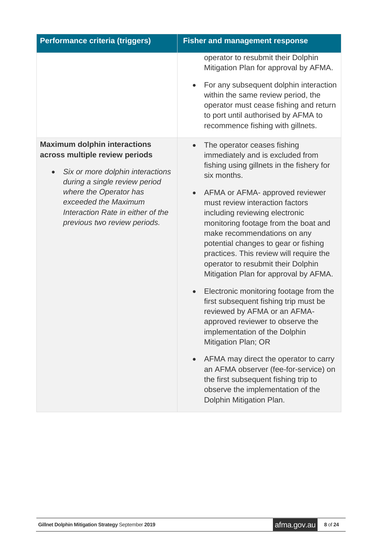| Performance criteria (triggers)                                                                                                                                                                                                                                                                          | <b>Fisher and management response</b>                                                                                                                                                                                                                                                                                                                                                                                                                                                                                                                                                                                                                                                                                                                                                                                                                      |  |  |  |  |
|----------------------------------------------------------------------------------------------------------------------------------------------------------------------------------------------------------------------------------------------------------------------------------------------------------|------------------------------------------------------------------------------------------------------------------------------------------------------------------------------------------------------------------------------------------------------------------------------------------------------------------------------------------------------------------------------------------------------------------------------------------------------------------------------------------------------------------------------------------------------------------------------------------------------------------------------------------------------------------------------------------------------------------------------------------------------------------------------------------------------------------------------------------------------------|--|--|--|--|
|                                                                                                                                                                                                                                                                                                          | operator to resubmit their Dolphin<br>Mitigation Plan for approval by AFMA.<br>For any subsequent dolphin interaction<br>within the same review period, the                                                                                                                                                                                                                                                                                                                                                                                                                                                                                                                                                                                                                                                                                                |  |  |  |  |
|                                                                                                                                                                                                                                                                                                          | operator must cease fishing and return<br>to port until authorised by AFMA to<br>recommence fishing with gillnets.                                                                                                                                                                                                                                                                                                                                                                                                                                                                                                                                                                                                                                                                                                                                         |  |  |  |  |
| <b>Maximum dolphin interactions</b><br>across multiple review periods<br>Six or more dolphin interactions<br>$\bullet$<br>during a single review period<br>where the Operator has<br>exceeded the Maximum<br>Interaction Rate in either of the<br>previous two review periods.<br>$\bullet$<br>$\bullet$ | The operator ceases fishing<br>immediately and is excluded from<br>fishing using gillnets in the fishery for<br>six months.<br>AFMA or AFMA- approved reviewer<br>must review interaction factors<br>including reviewing electronic<br>monitoring footage from the boat and<br>make recommendations on any<br>potential changes to gear or fishing<br>practices. This review will require the<br>operator to resubmit their Dolphin<br>Mitigation Plan for approval by AFMA.<br>Electronic monitoring footage from the<br>first subsequent fishing trip must be<br>reviewed by AFMA or an AFMA-<br>approved reviewer to observe the<br>implementation of the Dolphin<br>Mitigation Plan; OR<br>AFMA may direct the operator to carry<br>an AFMA observer (fee-for-service) on<br>the first subsequent fishing trip to<br>observe the implementation of the |  |  |  |  |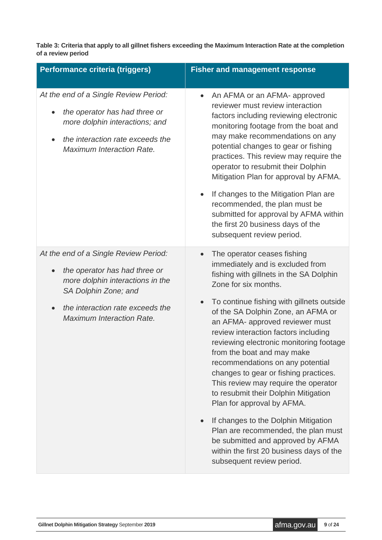**Table 3: Criteria that apply to all gillnet fishers exceeding the Maximum Interaction Rate at the completion of a review period** 

| Performance criteria (triggers)                                                                                                                                                                            | <b>Fisher and management response</b>                                                                                                                                                                                                                                                                                                                                                                                                                                                                                                                                                                                                                                                                                                                                          |  |  |  |  |
|------------------------------------------------------------------------------------------------------------------------------------------------------------------------------------------------------------|--------------------------------------------------------------------------------------------------------------------------------------------------------------------------------------------------------------------------------------------------------------------------------------------------------------------------------------------------------------------------------------------------------------------------------------------------------------------------------------------------------------------------------------------------------------------------------------------------------------------------------------------------------------------------------------------------------------------------------------------------------------------------------|--|--|--|--|
| At the end of a Single Review Period:<br>the operator has had three or<br>more dolphin interactions; and<br>the interaction rate exceeds the<br>$\bullet$<br><b>Maximum Interaction Rate.</b>              | An AFMA or an AFMA- approved<br>reviewer must review interaction<br>factors including reviewing electronic<br>monitoring footage from the boat and<br>may make recommendations on any<br>potential changes to gear or fishing<br>practices. This review may require the<br>operator to resubmit their Dolphin<br>Mitigation Plan for approval by AFMA.<br>If changes to the Mitigation Plan are<br>$\bullet$<br>recommended, the plan must be<br>submitted for approval by AFMA within<br>the first 20 business days of the<br>subsequent review period.                                                                                                                                                                                                                       |  |  |  |  |
| At the end of a Single Review Period:<br>the operator has had three or<br>more dolphin interactions in the<br>SA Dolphin Zone; and<br>the interaction rate exceeds the<br><b>Maximum Interaction Rate.</b> | The operator ceases fishing<br>$\bullet$<br>immediately and is excluded from<br>fishing with gillnets in the SA Dolphin<br>Zone for six months.<br>To continue fishing with gillnets outside<br>of the SA Dolphin Zone, an AFMA or<br>an AFMA- approved reviewer must<br>review interaction factors including<br>reviewing electronic monitoring footage<br>from the boat and may make<br>recommendations on any potential<br>changes to gear or fishing practices.<br>This review may require the operator<br>to resubmit their Dolphin Mitigation<br>Plan for approval by AFMA.<br>If changes to the Dolphin Mitigation<br>Plan are recommended, the plan must<br>be submitted and approved by AFMA<br>within the first 20 business days of the<br>subsequent review period. |  |  |  |  |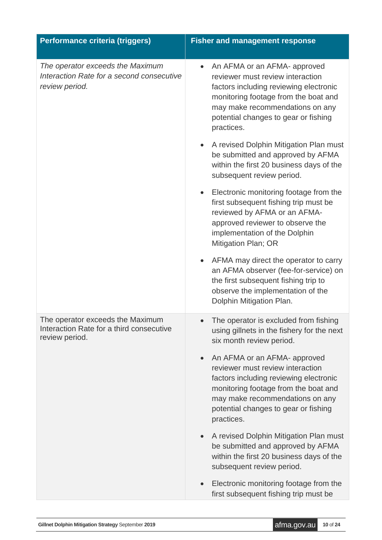| Performance criteria (triggers)                                                                 | <b>Fisher and management response</b>                                                                                                                                                                                                                    |  |  |  |  |
|-------------------------------------------------------------------------------------------------|----------------------------------------------------------------------------------------------------------------------------------------------------------------------------------------------------------------------------------------------------------|--|--|--|--|
| The operator exceeds the Maximum<br>Interaction Rate for a second consecutive<br>review period. | An AFMA or an AFMA- approved<br>reviewer must review interaction<br>factors including reviewing electronic<br>monitoring footage from the boat and<br>may make recommendations on any<br>potential changes to gear or fishing<br>practices.              |  |  |  |  |
|                                                                                                 | A revised Dolphin Mitigation Plan must<br>be submitted and approved by AFMA<br>within the first 20 business days of the<br>subsequent review period.                                                                                                     |  |  |  |  |
|                                                                                                 | Electronic monitoring footage from the<br>$\bullet$<br>first subsequent fishing trip must be<br>reviewed by AFMA or an AFMA-<br>approved reviewer to observe the<br>implementation of the Dolphin<br>Mitigation Plan; OR                                 |  |  |  |  |
|                                                                                                 | AFMA may direct the operator to carry<br>an AFMA observer (fee-for-service) on<br>the first subsequent fishing trip to<br>observe the implementation of the<br>Dolphin Mitigation Plan.                                                                  |  |  |  |  |
| The operator exceeds the Maximum<br>Interaction Rate for a third consecutive<br>review period.  | The operator is excluded from fishing<br>using gillnets in the fishery for the next<br>six month review period.                                                                                                                                          |  |  |  |  |
|                                                                                                 | An AFMA or an AFMA- approved<br>$\bullet$<br>reviewer must review interaction<br>factors including reviewing electronic<br>monitoring footage from the boat and<br>may make recommendations on any<br>potential changes to gear or fishing<br>practices. |  |  |  |  |
|                                                                                                 | A revised Dolphin Mitigation Plan must<br>$\bullet$<br>be submitted and approved by AFMA<br>within the first 20 business days of the<br>subsequent review period.                                                                                        |  |  |  |  |
|                                                                                                 | Electronic monitoring footage from the<br>first subsequent fishing trip must be                                                                                                                                                                          |  |  |  |  |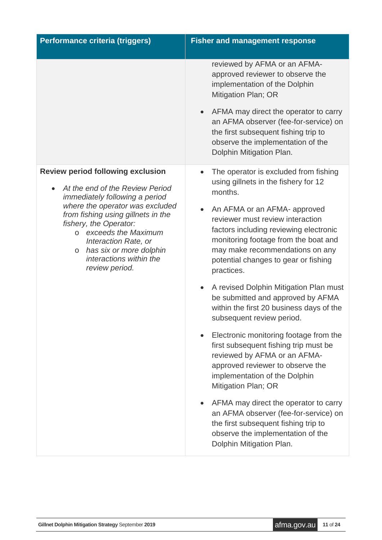| Performance criteria (triggers)                                                                                                                                                                                                                                                                                                                      | <b>Fisher and management response</b>                                                                                                                                                                                                                                                                                                                                                                                                                                                                                                                                                                                                                                                                                                                                                                                                                                                                     |  |  |  |  |
|------------------------------------------------------------------------------------------------------------------------------------------------------------------------------------------------------------------------------------------------------------------------------------------------------------------------------------------------------|-----------------------------------------------------------------------------------------------------------------------------------------------------------------------------------------------------------------------------------------------------------------------------------------------------------------------------------------------------------------------------------------------------------------------------------------------------------------------------------------------------------------------------------------------------------------------------------------------------------------------------------------------------------------------------------------------------------------------------------------------------------------------------------------------------------------------------------------------------------------------------------------------------------|--|--|--|--|
|                                                                                                                                                                                                                                                                                                                                                      | reviewed by AFMA or an AFMA-<br>approved reviewer to observe the<br>implementation of the Dolphin<br>Mitigation Plan; OR<br>AFMA may direct the operator to carry<br>an AFMA observer (fee-for-service) on<br>the first subsequent fishing trip to<br>observe the implementation of the<br>Dolphin Mitigation Plan.                                                                                                                                                                                                                                                                                                                                                                                                                                                                                                                                                                                       |  |  |  |  |
| <b>Review period following exclusion</b><br>At the end of the Review Period<br>immediately following a period<br>where the operator was excluded<br>from fishing using gillnets in the<br>fishery, the Operator:<br>o exceeds the Maximum<br>Interaction Rate, or<br>has six or more dolphin<br>$\circ$<br>interactions within the<br>review period. | The operator is excluded from fishing<br>using gillnets in the fishery for 12<br>months.<br>An AFMA or an AFMA- approved<br>reviewer must review interaction<br>factors including reviewing electronic<br>monitoring footage from the boat and<br>may make recommendations on any<br>potential changes to gear or fishing<br>practices.<br>A revised Dolphin Mitigation Plan must<br>be submitted and approved by AFMA<br>within the first 20 business days of the<br>subsequent review period.<br>Electronic monitoring footage from the<br>first subsequent fishing trip must be<br>reviewed by AFMA or an AFMA-<br>approved reviewer to observe the<br>implementation of the Dolphin<br>Mitigation Plan; OR<br>AFMA may direct the operator to carry<br>an AFMA observer (fee-for-service) on<br>the first subsequent fishing trip to<br>observe the implementation of the<br>Dolphin Mitigation Plan. |  |  |  |  |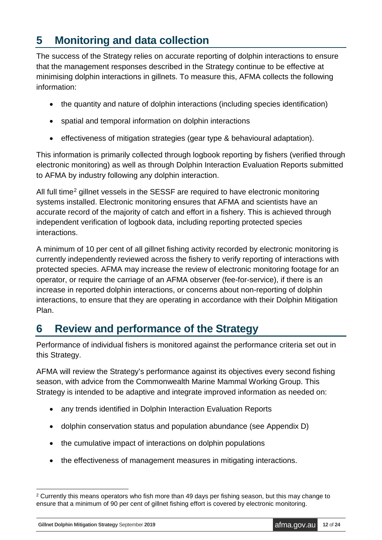# <span id="page-11-0"></span>**5 Monitoring and data collection**

The success of the Strategy relies on accurate reporting of dolphin interactions to ensure that the management responses described in the Strategy continue to be effective at minimising dolphin interactions in gillnets. To measure this, AFMA collects the following information:

- the quantity and nature of dolphin interactions (including species identification)
- spatial and temporal information on dolphin interactions
- effectiveness of mitigation strategies (gear type & behavioural adaptation).

This information is primarily collected through logbook reporting by fishers (verified through electronic monitoring) as well as through Dolphin Interaction Evaluation Reports submitted to AFMA by industry following any dolphin interaction.

All full time<sup>[2](#page-11-2)</sup> gillnet vessels in the SESSF are required to have electronic monitoring systems installed. Electronic monitoring ensures that AFMA and scientists have an accurate record of the majority of catch and effort in a fishery. This is achieved through independent verification of logbook data, including reporting protected species interactions.

A minimum of 10 per cent of all gillnet fishing activity recorded by electronic monitoring is currently independently reviewed across the fishery to verify reporting of interactions with protected species. AFMA may increase the review of electronic monitoring footage for an operator, or require the carriage of an AFMA observer (fee-for-service), if there is an increase in reported dolphin interactions, or concerns about non-reporting of dolphin interactions, to ensure that they are operating in accordance with their Dolphin Mitigation Plan.

# <span id="page-11-1"></span>**6 Review and performance of the Strategy**

Performance of individual fishers is monitored against the performance criteria set out in this Strategy.

AFMA will review the Strategy's performance against its objectives every second fishing season, with advice from the Commonwealth Marine Mammal Working Group. This Strategy is intended to be adaptive and integrate improved information as needed on:

- any trends identified in Dolphin Interaction Evaluation Reports
- dolphin conservation status and population abundance (see Appendix D)
- the cumulative impact of interactions on dolphin populations
- the effectiveness of management measures in mitigating interactions.

<span id="page-11-2"></span><sup>&</sup>lt;sup>2</sup> Currently this means operators who fish more than 49 days per fishing season, but this may change to ensure that a minimum of 90 per cent of gillnet fishing effort is covered by electronic monitoring.

**Gillnet Dolphin Mitigation Strategy September 2019 afma.gov.au 12** of 24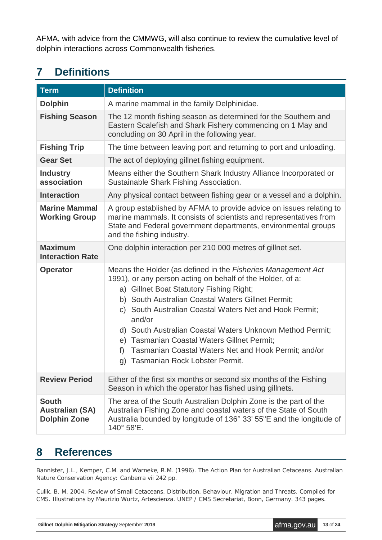AFMA, with advice from the CMMWG, will also continue to review the cumulative level of dolphin interactions across Commonwealth fisheries.

# <span id="page-12-0"></span>**7 Definitions**

| <b>Term</b>                                                   | <b>Definition</b>                                                                                                                                                                                                                                                                                                                                                                                                                                                                                                            |  |  |  |  |
|---------------------------------------------------------------|------------------------------------------------------------------------------------------------------------------------------------------------------------------------------------------------------------------------------------------------------------------------------------------------------------------------------------------------------------------------------------------------------------------------------------------------------------------------------------------------------------------------------|--|--|--|--|
| <b>Dolphin</b>                                                | A marine mammal in the family Delphinidae.                                                                                                                                                                                                                                                                                                                                                                                                                                                                                   |  |  |  |  |
| <b>Fishing Season</b>                                         | The 12 month fishing season as determined for the Southern and<br>Eastern Scalefish and Shark Fishery commencing on 1 May and<br>concluding on 30 April in the following year.                                                                                                                                                                                                                                                                                                                                               |  |  |  |  |
| <b>Fishing Trip</b>                                           | The time between leaving port and returning to port and unloading.                                                                                                                                                                                                                                                                                                                                                                                                                                                           |  |  |  |  |
| <b>Gear Set</b>                                               | The act of deploying gillnet fishing equipment.                                                                                                                                                                                                                                                                                                                                                                                                                                                                              |  |  |  |  |
| <b>Industry</b><br>association                                | Means either the Southern Shark Industry Alliance Incorporated or<br>Sustainable Shark Fishing Association.                                                                                                                                                                                                                                                                                                                                                                                                                  |  |  |  |  |
| <b>Interaction</b>                                            | Any physical contact between fishing gear or a vessel and a dolphin.                                                                                                                                                                                                                                                                                                                                                                                                                                                         |  |  |  |  |
| <b>Marine Mammal</b><br><b>Working Group</b>                  | A group established by AFMA to provide advice on issues relating to<br>marine mammals. It consists of scientists and representatives from<br>State and Federal government departments, environmental groups<br>and the fishing industry.                                                                                                                                                                                                                                                                                     |  |  |  |  |
| <b>Maximum</b><br><b>Interaction Rate</b>                     | One dolphin interaction per 210 000 metres of gillnet set.                                                                                                                                                                                                                                                                                                                                                                                                                                                                   |  |  |  |  |
| <b>Operator</b>                                               | Means the Holder (as defined in the Fisheries Management Act<br>1991), or any person acting on behalf of the Holder, of a:<br>a) Gillnet Boat Statutory Fishing Right;<br>b) South Australian Coastal Waters Gillnet Permit;<br>c) South Australian Coastal Waters Net and Hook Permit;<br>and/or<br>d) South Australian Coastal Waters Unknown Method Permit;<br><b>Tasmanian Coastal Waters Gillnet Permit;</b><br>e)<br>f<br>Tasmanian Coastal Waters Net and Hook Permit; and/or<br>Tasmanian Rock Lobster Permit.<br>g) |  |  |  |  |
| <b>Review Period</b>                                          | Either of the first six months or second six months of the Fishing<br>Season in which the operator has fished using gillnets.                                                                                                                                                                                                                                                                                                                                                                                                |  |  |  |  |
| <b>South</b><br><b>Australian (SA)</b><br><b>Dolphin Zone</b> | The area of the South Australian Dolphin Zone is the part of the<br>Australian Fishing Zone and coastal waters of the State of South<br>Australia bounded by longitude of 136° 33' 55"E and the longitude of<br>140° 58'E.                                                                                                                                                                                                                                                                                                   |  |  |  |  |

### <span id="page-12-1"></span>**8 References**

Bannister, J.L., Kemper, C.M. and Warneke, R.M. (1996*). The Action Plan for Australian Cetaceans. Australian Nature Conservation Agency*: Canberra vii 242 pp.

Culik, B. M. 2004. *Review of Small Cetaceans. Distribution, Behaviour, Migration and Threats. Compiled for CMS*. Illustrations by Maurizio Wurtz, Artescienza. UNEP / CMS Secretariat, Bonn, Germany. 343 pages.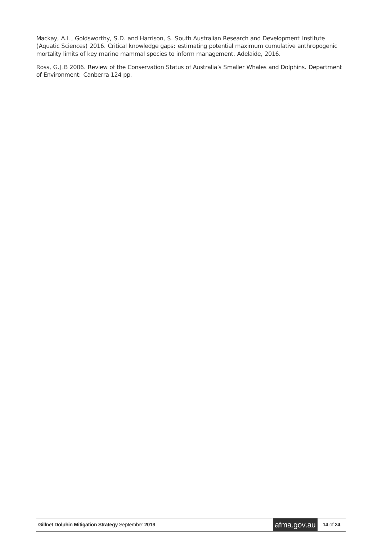Mackay, A.I., Goldsworthy, S.D. and Harrison, S. South Australian Research and Development Institute (Aquatic Sciences) 2016. *Critical knowledge gaps: estimating potential maximum cumulative anthropogenic mortality limits of key marine mammal species to inform management*. Adelaide, 2016.

Ross, G.J.B 2006. *Review of the Conservation Status of Australia's Smaller Whales and Dolphins. Department of Environment*: Canberra 124 pp.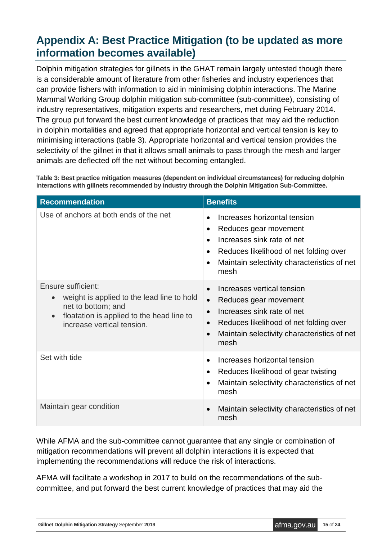## <span id="page-14-0"></span>**Appendix A: Best Practice Mitigation (to be updated as more information becomes available)**

Dolphin mitigation strategies for gillnets in the GHAT remain largely untested though there is a considerable amount of literature from other fisheries and industry experiences that can provide fishers with information to aid in minimising dolphin interactions. The Marine Mammal Working Group dolphin mitigation sub-committee (sub-committee), consisting of industry representatives, mitigation experts and researchers, met during February 2014. The group put forward the best current knowledge of practices that may aid the reduction in dolphin mortalities and agreed that appropriate horizontal and vertical tension is key to minimising interactions (table 3). Appropriate horizontal and vertical tension provides the selectivity of the gillnet in that it allows small animals to pass through the mesh and larger animals are deflected off the net without becoming entangled.

<span id="page-14-1"></span>**Table 3: Best practice mitigation measures (dependent on individual circumstances) for reducing dolphin interactions with gillnets recommended by industry through the Dolphin Mitigation Sub-Committee.**

| <b>Recommendation</b>                                                                                                                                                                       | <b>Benefits</b>                                                                                                                                                                                                                        |  |  |  |  |
|---------------------------------------------------------------------------------------------------------------------------------------------------------------------------------------------|----------------------------------------------------------------------------------------------------------------------------------------------------------------------------------------------------------------------------------------|--|--|--|--|
| Use of anchors at both ends of the net                                                                                                                                                      | Increases horizontal tension<br>Reduces gear movement<br>٠<br>Increases sink rate of net<br>$\bullet$<br>Reduces likelihood of net folding over<br>$\bullet$<br>Maintain selectivity characteristics of net<br>mesh                    |  |  |  |  |
| Ensure sufficient:<br>weight is applied to the lead line to hold<br>$\bullet$<br>net to bottom; and<br>floatation is applied to the head line to<br>$\bullet$<br>increase vertical tension. | Increases vertical tension<br>$\bullet$<br>Reduces gear movement<br>$\bullet$<br>Increases sink rate of net<br>$\bullet$<br>Reduces likelihood of net folding over<br>$\bullet$<br>Maintain selectivity characteristics of net<br>mesh |  |  |  |  |
| Set with tide                                                                                                                                                                               | Increases horizontal tension<br>Reduces likelihood of gear twisting<br>$\bullet$<br>Maintain selectivity characteristics of net<br>mesh                                                                                                |  |  |  |  |
| Maintain gear condition                                                                                                                                                                     | Maintain selectivity characteristics of net<br>$\bullet$<br>mesh                                                                                                                                                                       |  |  |  |  |

While AFMA and the sub-committee cannot guarantee that any single or combination of mitigation recommendations will prevent all dolphin interactions it is expected that implementing the recommendations will reduce the risk of interactions.

AFMA will facilitate a workshop in 2017 to build on the recommendations of the subcommittee, and put forward the best current knowledge of practices that may aid the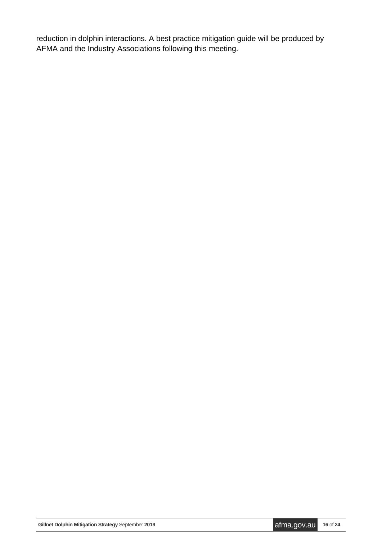reduction in dolphin interactions. A best practice mitigation guide will be produced by AFMA and the Industry Associations following this meeting.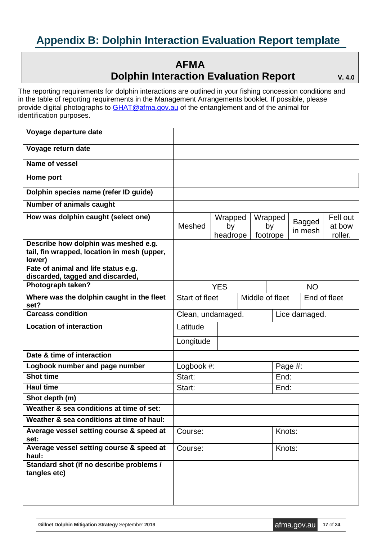# <span id="page-16-0"></span>**Appendix B: Dolphin Interaction Evaluation Report template**

#### **AFMA Dolphin Interaction Evaluation Report** V. 4.0

The reporting requirements for dolphin interactions are outlined in your fishing concession conditions and in the table of reporting requirements in the Management Arrangements booklet. If possible, please provide digital photographs to [GHAT@afma.gov.au](mailto:GHAT@afma.gov.au) of the entanglement and of the animal for identification purposes.

| Voyage departure date                                                                         |                   |                                   |  |                |         |               |                   |          |
|-----------------------------------------------------------------------------------------------|-------------------|-----------------------------------|--|----------------|---------|---------------|-------------------|----------|
| Voyage return date                                                                            |                   |                                   |  |                |         |               |                   |          |
| Name of vessel                                                                                |                   |                                   |  |                |         |               |                   |          |
| Home port                                                                                     |                   |                                   |  |                |         |               |                   |          |
| Dolphin species name (refer ID guide)                                                         |                   |                                   |  |                |         |               |                   |          |
| <b>Number of animals caught</b>                                                               |                   |                                   |  |                |         |               |                   |          |
| How was dolphin caught (select one)                                                           |                   | Wrapped                           |  |                | Wrapped |               | <b>Bagged</b>     | Fell out |
|                                                                                               | Meshed            | by<br>headrope                    |  | by<br>footrope |         | in mesh       | at bow<br>roller. |          |
| Describe how dolphin was meshed e.g.<br>tail, fin wrapped, location in mesh (upper,<br>lower) |                   |                                   |  |                |         |               |                   |          |
| Fate of animal and life status e.g.<br>discarded, tagged and discarded,                       |                   |                                   |  |                |         |               |                   |          |
| Photograph taken?                                                                             | <b>YES</b>        |                                   |  | <b>NO</b>      |         |               |                   |          |
| Where was the dolphin caught in the fleet<br>set?                                             |                   | Middle of fleet<br>Start of fleet |  | End of fleet   |         |               |                   |          |
| <b>Carcass condition</b>                                                                      | Clean, undamaged. |                                   |  |                |         | Lice damaged. |                   |          |
| <b>Location of interaction</b>                                                                | Latitude          |                                   |  |                |         |               |                   |          |
|                                                                                               | Longitude         |                                   |  |                |         |               |                   |          |
| Date & time of interaction                                                                    |                   |                                   |  |                |         |               |                   |          |
| Logbook number and page number                                                                | Logbook #:        |                                   |  |                | Page #: |               |                   |          |
| <b>Shot time</b>                                                                              | Start:            |                                   |  |                | End:    |               |                   |          |
| <b>Haul time</b>                                                                              | Start:<br>End:    |                                   |  |                |         |               |                   |          |
| Shot depth (m)                                                                                |                   |                                   |  |                |         |               |                   |          |
| Weather & sea conditions at time of set:                                                      |                   |                                   |  |                |         |               |                   |          |
| Weather & sea conditions at time of haul:                                                     |                   |                                   |  |                |         |               |                   |          |
| Average vessel setting course & speed at<br>set:                                              | Course:           |                                   |  | Knots:         |         |               |                   |          |
| Average vessel setting course & speed at<br>haul:                                             | Course:           |                                   |  |                | Knots:  |               |                   |          |
| Standard shot (if no describe problems /<br>tangles etc)                                      |                   |                                   |  |                |         |               |                   |          |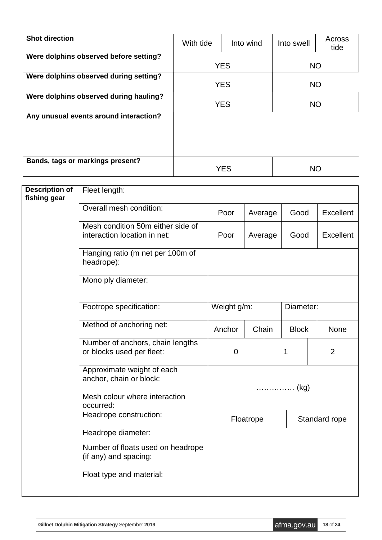| <b>Shot direction</b>                  | With tide  | Into wind  | Into swell | Across<br>tide |  |
|----------------------------------------|------------|------------|------------|----------------|--|
| Were dolphins observed before setting? |            |            |            |                |  |
|                                        |            | <b>YES</b> | <b>NO</b>  |                |  |
| Were dolphins observed during setting? |            | <b>YES</b> | <b>NO</b>  |                |  |
| Were dolphins observed during hauling? | <b>YES</b> |            | <b>NO</b>  |                |  |
| Any unusual events around interaction? |            |            |            |                |  |
| Bands, tags or markings present?       |            | <b>YES</b> | NO         |                |  |

| <b>Description of</b><br>fishing gear | Fleet length:                                                     |              |                    |  |               |                |
|---------------------------------------|-------------------------------------------------------------------|--------------|--------------------|--|---------------|----------------|
|                                       | Overall mesh condition:                                           | Poor         | Average<br>Average |  | Good          | Excellent      |
|                                       | Mesh condition 50m either side of<br>interaction location in net: | Poor         |                    |  | Good          | Excellent      |
|                                       | Hanging ratio (m net per 100m of<br>headrope):                    |              |                    |  |               |                |
|                                       | Mono ply diameter:                                                |              |                    |  |               |                |
|                                       | Footrope specification:                                           | Weight g/m:  | Chain              |  | Diameter:     |                |
|                                       | Method of anchoring net:                                          | Anchor       |                    |  | <b>Block</b>  | None           |
|                                       | Number of anchors, chain lengths<br>or blocks used per fleet:     | $\mathbf 0$  |                    |  | 1             | $\overline{2}$ |
|                                       | Approximate weight of each<br>anchor, chain or block:             | <u></u> (kg) |                    |  |               |                |
|                                       | Mesh colour where interaction<br>occurred:                        |              |                    |  |               |                |
|                                       | Headrope construction:                                            |              | Floatrope          |  | Standard rope |                |
|                                       | Headrope diameter:                                                |              |                    |  |               |                |
|                                       | Number of floats used on headrope<br>(if any) and spacing:        |              |                    |  |               |                |
|                                       | Float type and material:                                          |              |                    |  |               |                |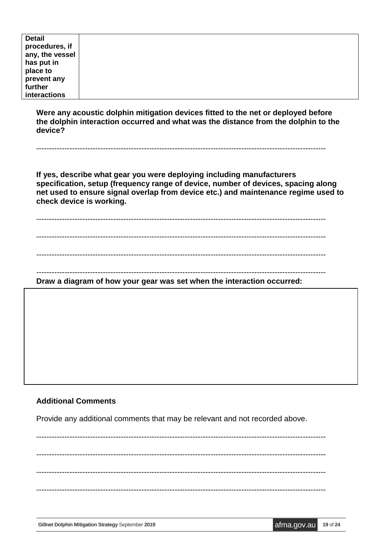| <b>Detail</b>   |  |
|-----------------|--|
| procedures, if  |  |
| any, the vessel |  |
| has put in      |  |
| place to        |  |
| prevent any     |  |
| further         |  |
| interactions    |  |

**Were any acoustic dolphin mitigation devices fitted to the net or deployed before the dolphin interaction occurred and what was the distance from the dolphin to the device?** 

-----------------------------------------------------------------------------------------------------------------

**If yes, describe what gear you were deploying including manufacturers specification, setup (frequency range of device, number of devices, spacing along net used to ensure signal overlap from device etc.) and maintenance regime used to check device is working.** 

-----------------------------------------------------------------------------------------------------------------

-----------------------------------------------------------------------------------------------------------------

-----------------------------------------------------------------------------------------------------------------

-----------------------------------------------------------------------------------------------------------------

**Draw a diagram of how your gear was set when the interaction occurred:** 

#### **Additional Comments**

Provide any additional comments that may be relevant and not recorded above.

----------------------------------------------------------------------------------------------------------------- ----------------------------------------------------------------------------------------------------------------- ----------------------------------------------------------------------------------------------------------------- -----------------------------------------------------------------------------------------------------------------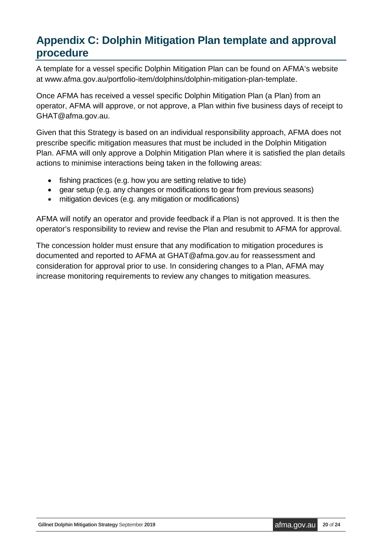# <span id="page-19-0"></span>**Appendix C: Dolphin Mitigation Plan template and approval procedure**

A template for a vessel specific Dolphin Mitigation Plan can be found on AFMA's website at www.afma.gov.au/portfolio-item/dolphins/dolphin-mitigation-plan-template.

Once AFMA has received a vessel specific Dolphin Mitigation Plan (a Plan) from an operator, AFMA will approve, or not approve, a Plan within five business days of receipt to GHAT@afma.gov.au.

Given that this Strategy is based on an individual responsibility approach, AFMA does not prescribe specific mitigation measures that must be included in the Dolphin Mitigation Plan. AFMA will only approve a Dolphin Mitigation Plan where it is satisfied the plan details actions to minimise interactions being taken in the following areas:

- fishing practices (e.g. how you are setting relative to tide)
- gear setup (e.g. any changes or modifications to gear from previous seasons)
- mitigation devices (e.g. any mitigation or modifications)

AFMA will notify an operator and provide feedback if a Plan is not approved. It is then the operator's responsibility to review and revise the Plan and resubmit to AFMA for approval.

The concession holder must ensure that any modification to mitigation procedures is documented and reported to AFMA at GHAT@afma.gov.au for reassessment and consideration for approval prior to use. In considering changes to a Plan, AFMA may increase monitoring requirements to review any changes to mitigation measures.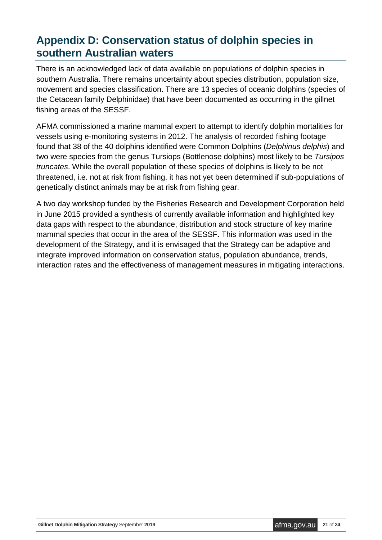## <span id="page-20-0"></span>**Appendix D: Conservation status of dolphin species in southern Australian waters**

There is an acknowledged lack of data available on populations of dolphin species in southern Australia. There remains uncertainty about species distribution, population size, movement and species classification. There are 13 species of oceanic dolphins (species of the Cetacean family Delphinidae) that have been documented as occurring in the gillnet fishing areas of the SESSF.

AFMA commissioned a marine mammal expert to attempt to identify dolphin mortalities for vessels using e-monitoring systems in 2012. The analysis of recorded fishing footage found that 38 of the 40 dolphins identified were Common Dolphins (*Delphinus delphis*) and two were species from the genus Tursiops (Bottlenose dolphins) most likely to be *Tursipos truncates*. While the overall population of these species of dolphins is likely to be not threatened, i.e. not at risk from fishing, it has not yet been determined if sub-populations of genetically distinct animals may be at risk from fishing gear.

A two day workshop funded by the Fisheries Research and Development Corporation held in June 2015 provided a synthesis of currently available information and highlighted key data gaps with respect to the abundance, distribution and stock structure of key marine mammal species that occur in the area of the SESSF. This information was used in the development of the Strategy, and it is envisaged that the Strategy can be adaptive and integrate improved information on conservation status, population abundance, trends, interaction rates and the effectiveness of management measures in mitigating interactions.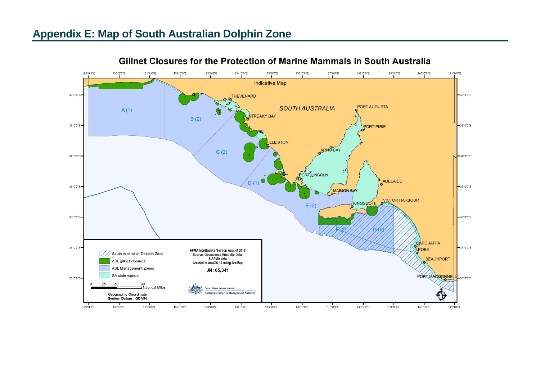<span id="page-21-0"></span>

#### Gillnet Closures for the Protection of Marine Mammals in South Australia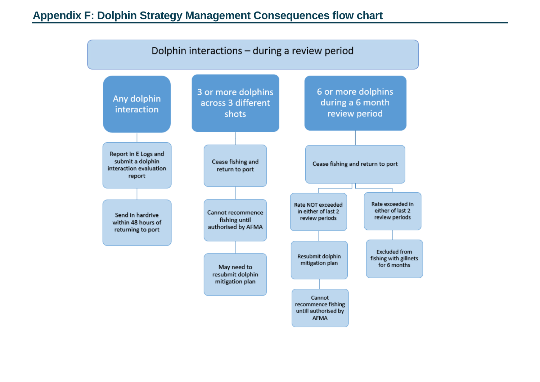### **Appendix F: Dolphin Strategy Management Consequences flow chart**

<span id="page-22-0"></span>